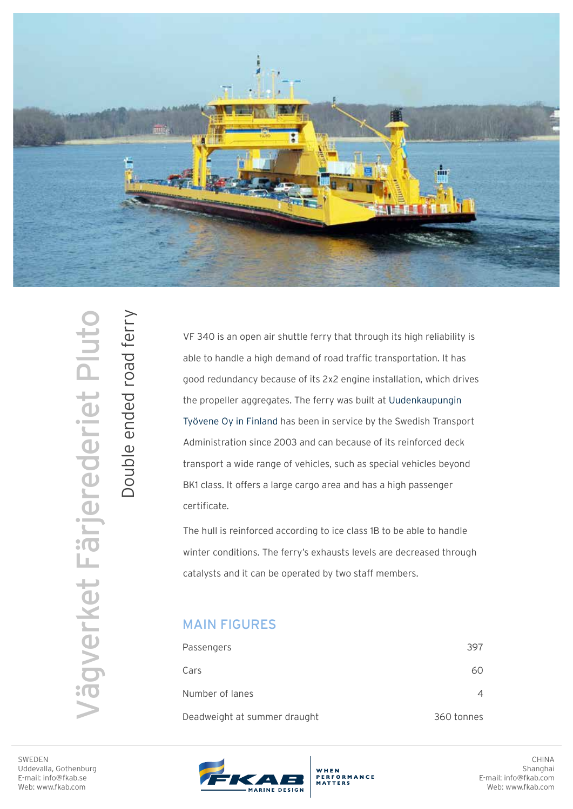

Vägverket Färjerederiet Pluto **/ägverket Färjerederiet Plut** 

Double ended road ferry

Double ended road ferry

VF 340 is an open air shuttle ferry that through its high reliability is able to handle a high demand of road traffic transportation. It has good redundancy because of its 2x2 engine installation, which drives the propeller aggregates. The ferry was built at Uudenkaupungin Työvene Oy in Finland has been in service by the Swedish Transport Administration since 2003 and can because of its reinforced deck transport a wide range of vehicles, such as special vehicles beyond BK1 class. It offers a large cargo area and has a high passenger certificate.

The hull is reinforced according to ice class 1B to be able to handle winter conditions. The ferry's exhausts levels are decreased through catalysts and it can be operated by two staff members.

## MAIN FIGURES

| Passengers                   | 397        |
|------------------------------|------------|
| Cars                         | 60         |
| Number of lanes              |            |
| Deadweight at summer draught | 360 tonnes |



SWEDEN Uddevalla, Gothenburg E-mail: info@fkab.se Web: www.fkab.com